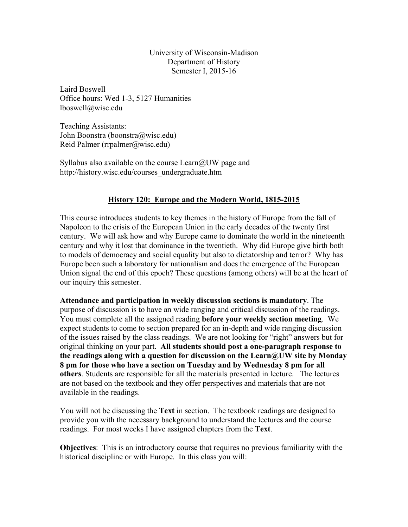University of Wisconsin-Madison Department of History Semester I, 2015-16

Laird Boswell Office hours: Wed 1-3, 5127 Humanities lboswell@wisc.edu

Teaching Assistants: John Boonstra (boonstra@wisc.edu) Reid Palmer (rrpalmer@wisc.edu)

Syllabus also available on the course  $Learn@UW$  page and http://history.wisc.edu/courses\_undergraduate.htm

# **History 120: Europe and the Modern World, 1815-2015**

This course introduces students to key themes in the history of Europe from the fall of Napoleon to the crisis of the European Union in the early decades of the twenty first century. We will ask how and why Europe came to dominate the world in the nineteenth century and why it lost that dominance in the twentieth. Why did Europe give birth both to models of democracy and social equality but also to dictatorship and terror? Why has Europe been such a laboratory for nationalism and does the emergence of the European Union signal the end of this epoch? These questions (among others) will be at the heart of our inquiry this semester.

**Attendance and participation in weekly discussion sections is mandatory**. The purpose of discussion is to have an wide ranging and critical discussion of the readings. You must complete all the assigned reading **before your weekly section meeting**. We expect students to come to section prepared for an in-depth and wide ranging discussion of the issues raised by the class readings. We are not looking for "right" answers but for original thinking on your part. **All students should post a one-paragraph response to the readings along with a question for discussion on the Learn@UW site by Monday 8 pm for those who have a section on Tuesday and by Wednesday 8 pm for all others**. Students are responsible for all the materials presented in lecture. The lectures are not based on the textbook and they offer perspectives and materials that are not available in the readings.

You will not be discussing the **Text** in section. The textbook readings are designed to provide you with the necessary background to understand the lectures and the course readings. For most weeks I have assigned chapters from the **Text**.

**Objectives**: This is an introductory course that requires no previous familiarity with the historical discipline or with Europe. In this class you will: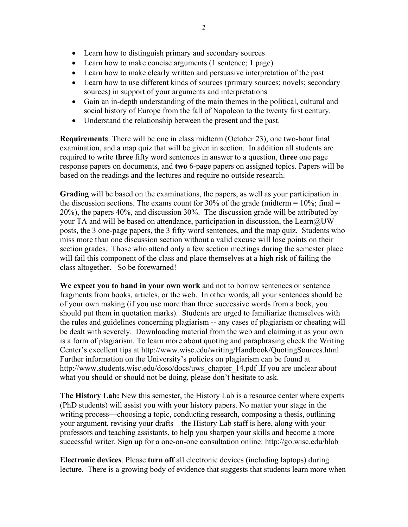- Learn how to distinguish primary and secondary sources
- Learn how to make concise arguments (1 sentence; 1 page)
- Learn how to make clearly written and persuasive interpretation of the past
- Learn how to use different kinds of sources (primary sources; novels; secondary sources) in support of your arguments and interpretations
- Gain an in-depth understanding of the main themes in the political, cultural and social history of Europe from the fall of Napoleon to the twenty first century.
- Understand the relationship between the present and the past.

**Requirements**: There will be one in class midterm (October 23), one two-hour final examination, and a map quiz that will be given in section. In addition all students are required to write **three** fifty word sentences in answer to a question, **three** one page response papers on documents, and **two** 6-page papers on assigned topics. Papers will be based on the readings and the lectures and require no outside research.

**Grading** will be based on the examinations, the papers, as well as your participation in the discussion sections. The exams count for 30% of the grade (midterm  $= 10\%$ ; final  $=$ 20%), the papers 40%, and discussion 30%. The discussion grade will be attributed by your TA and will be based on attendance, participation in discussion, the Learn@UW posts, the 3 one-page papers, the 3 fifty word sentences, and the map quiz. Students who miss more than one discussion section without a valid excuse will lose points on their section grades. Those who attend only a few section meetings during the semester place will fail this component of the class and place themselves at a high risk of failing the class altogether.So be forewarned!

**We expect you to hand in your own work** and not to borrow sentences or sentence fragments from books, articles, or the web. In other words, all your sentences should be of your own making (if you use more than three successive words from a book, you should put them in quotation marks). Students are urged to familiarize themselves with the rules and guidelines concerning plagiarism -- any cases of plagiarism or cheating will be dealt with severely. Downloading material from the web and claiming it as your own is a form of plagiarism. To learn more about quoting and paraphrasing check the Writing Center's excellent tips at http://www.wisc.edu/writing/Handbook/QuotingSources.html Further information on the University's policies on plagiarism can be found at http://www.students.wisc.edu/doso/docs/uws\_chapter\_14.pdf .If you are unclear about what you should or should not be doing, please don't hesitate to ask.

**The History Lab:** New this semester, the History Lab is a resource center where experts (PhD students) will assist you with your history papers. No matter your stage in the writing process—choosing a topic, conducting research, composing a thesis, outlining your argument, revising your drafts—the History Lab staff is here, along with your professors and teaching assistants, to help you sharpen your skills and become a more successful writer. Sign up for a one-on-one consultation online: http://go.wisc.edu/hlab

**Electronic devices**. Please **turn off** all electronic devices (including laptops) during lecture. There is a growing body of evidence that suggests that students learn more when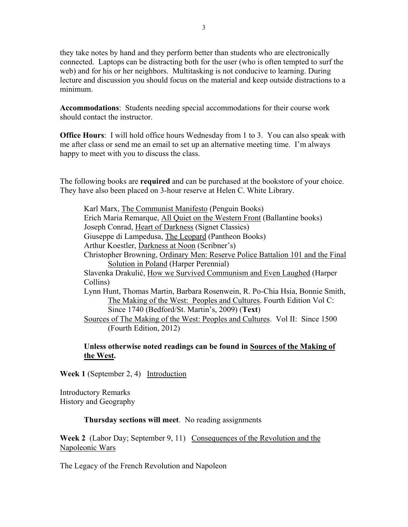they take notes by hand and they perform better than students who are electronically connected. Laptops can be distracting both for the user (who is often tempted to surf the web) and for his or her neighbors. Multitasking is not conducive to learning. During lecture and discussion you should focus on the material and keep outside distractions to a minimum.

**Accommodations**: Students needing special accommodations for their course work should contact the instructor.

**Office Hours**: I will hold office hours Wednesday from 1 to 3. You can also speak with me after class or send me an email to set up an alternative meeting time. I'm always happy to meet with you to discuss the class.

The following books are **required** and can be purchased at the bookstore of your choice. They have also been placed on 3-hour reserve at Helen C. White Library.

Karl Marx, The Communist Manifesto (Penguin Books) Erich Maria Remarque, All Quiet on the Western Front (Ballantine books) Joseph Conrad, Heart of Darkness (Signet Classics) Giuseppe di Lampedusa, The Leopard (Pantheon Books) Arthur Koestler, Darkness at Noon (Scribner's) Christopher Browning, Ordinary Men: Reserve Police Battalion 101 and the Final Solution in Poland (Harper Perennial) Slavenka Drakulić, How we Survived Communism and Even Laughed (Harper Collins) Lynn Hunt, Thomas Martin, Barbara Rosenwein, R. Po-Chia Hsia, Bonnie Smith, The Making of the West: Peoples and Cultures. Fourth Edition Vol C: Since 1740 (Bedford/St. Martin's, 2009) (**Text**) Sources of The Making of the West: Peoples and Cultures. Vol II: Since 1500 (Fourth Edition, 2012)

# **Unless otherwise noted readings can be found in Sources of the Making of the West.**

**Week 1** (September 2, 4) Introduction

Introductory Remarks History and Geography

# **Thursday sections will meet**. No reading assignments

**Week 2** (Labor Day; September 9, 11) Consequences of the Revolution and the Napoleonic Wars

The Legacy of the French Revolution and Napoleon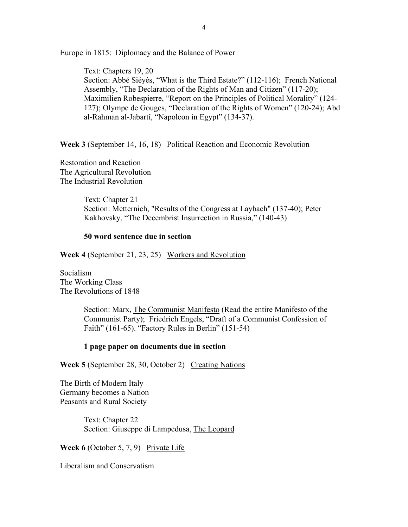Europe in 1815: Diplomacy and the Balance of Power

Text: Chapters 19, 20 Section: Abbé Siéyès, "What is the Third Estate?" (112-116); French National Assembly, "The Declaration of the Rights of Man and Citizen" (117-20); Maximilien Robespierre, "Report on the Principles of Political Morality" (124- 127); Olympe de Gouges, "Declaration of the Rights of Women" (120-24); Abd al-Rahman al-Jabartî, "Napoleon in Egypt" (134-37).

**Week 3** (September 14, 16, 18) Political Reaction and Economic Revolution

Restoration and Reaction The Agricultural Revolution The Industrial Revolution

> Text: Chapter 21 Section: Metternich, "Results of the Congress at Laybach" (137-40); Peter Kakhovsky, "The Decembrist Insurrection in Russia," (140-43)

### **50 word sentence due in section**

**Week 4** (September 21, 23, 25) Workers and Revolution

Socialism The Working Class The Revolutions of 1848

> Section: Marx, The Communist Manifesto (Read the entire Manifesto of the Communist Party); Friedrich Engels, "Draft of a Communist Confession of Faith" (161-65). "Factory Rules in Berlin" (151-54)

### **1 page paper on documents due in section**

**Week 5** (September 28, 30, October 2) Creating Nations

The Birth of Modern Italy Germany becomes a Nation Peasants and Rural Society

> Text: Chapter 22 Section: Giuseppe di Lampedusa, The Leopard

**Week 6** (October 5, 7, 9) Private Life

Liberalism and Conservatism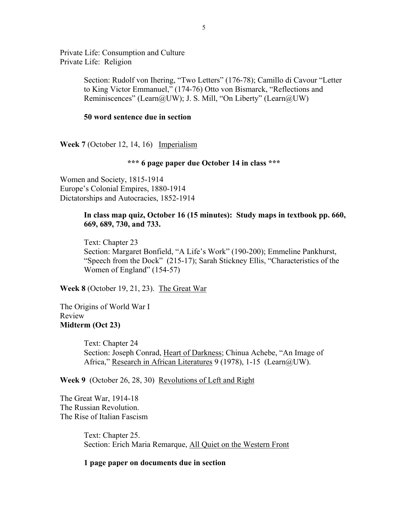Private Life: Consumption and Culture Private Life: Religion

> Section: Rudolf von Ihering, "Two Letters" (176-78); Camillo di Cavour "Letter to King Victor Emmanuel," (174-76) Otto von Bismarck, "Reflections and Reminiscences" (Learn@UW); J. S. Mill, "On Liberty" (Learn@UW)

## **50 word sentence due in section**

**Week 7** (October 12, 14, 16) Imperialism

# **\*\*\* 6 page paper due October 14 in class \*\*\***

Women and Society, 1815-1914 Europe's Colonial Empires, 1880-1914 Dictatorships and Autocracies, 1852-1914

## **In class map quiz, October 16 (15 minutes): Study maps in textbook pp. 660, 669, 689, 730, and 733.**

Text: Chapter 23 Section: Margaret Bonfield, "A Life's Work" (190-200); Emmeline Pankhurst, "Speech from the Dock" (215-17); Sarah Stickney Ellis, "Characteristics of the Women of England" (154-57)

**Week 8** (October 19, 21, 23). The Great War

The Origins of World War I Review **Midterm (Oct 23)** 

> Text: Chapter 24 Section: Joseph Conrad, Heart of Darkness; Chinua Achebe, "An Image of Africa," Research in African Literatures 9 (1978), 1-15 (Learn@UW).

**Week 9** (October 26, 28, 30) Revolutions of Left and Right

The Great War, 1914-18 The Russian Revolution. The Rise of Italian Fascism

> Text: Chapter 25. Section: Erich Maria Remarque, All Quiet on the Western Front

### **1 page paper on documents due in section**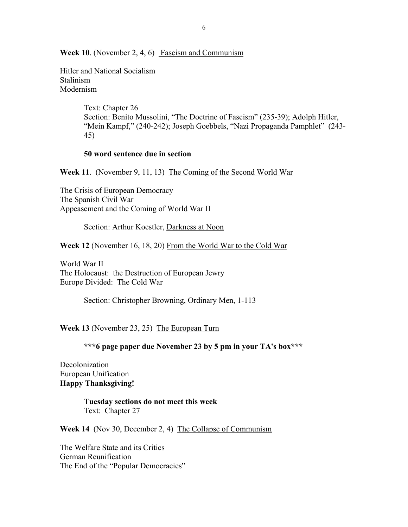**Week 10**. (November 2, 4, 6) Fascism and Communism

Hitler and National Socialism Stalinism Modernism

> Text: Chapter 26 Section: Benito Mussolini, "The Doctrine of Fascism" (235-39); Adolph Hitler, "Mein Kampf," (240-242); Joseph Goebbels, "Nazi Propaganda Pamphlet" (243-45)

## **50 word sentence due in section**

**Week 11**. (November 9, 11, 13) The Coming of the Second World War

The Crisis of European Democracy The Spanish Civil War Appeasement and the Coming of World War II

Section: Arthur Koestler, Darkness at Noon

**Week 12** (November 16, 18, 20) From the World War to the Cold War

World War II The Holocaust: the Destruction of European Jewry Europe Divided: The Cold War

Section: Christopher Browning, Ordinary Men, 1-113

**Week 13** (November 23, 25) The European Turn

**\*\*\*6 page paper due November 23 by 5 pm in your TA's box\*\*\*** 

Decolonization European Unification **Happy Thanksgiving!** 

> **Tuesday sections do not meet this week**  Text: Chapter 27

**Week 14** (Nov 30, December 2, 4) The Collapse of Communism

The Welfare State and its Critics German Reunification The End of the "Popular Democracies"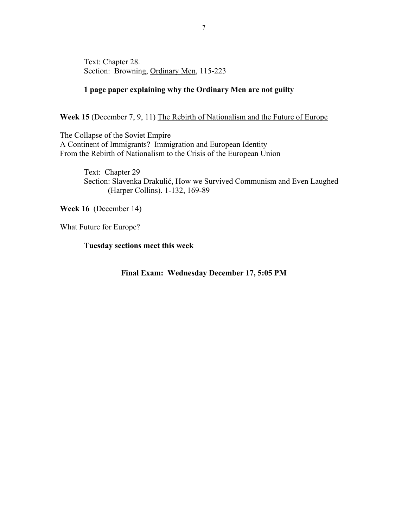Text: Chapter 28. Section: Browning, Ordinary Men, 115-223

# **1 page paper explaining why the Ordinary Men are not guilty**

Week 15 (December 7, 9, 11) The Rebirth of Nationalism and the Future of Europe

The Collapse of the Soviet Empire A Continent of Immigrants? Immigration and European Identity From the Rebirth of Nationalism to the Crisis of the European Union

> Text: Chapter 29 Section: Slavenka Drakulić, How we Survived Communism and Even Laughed (Harper Collins). 1-132, 169-89

**Week 16** (December 14)

What Future for Europe?

**Tuesday sections meet this week** 

**Final Exam: Wednesday December 17, 5:05 PM**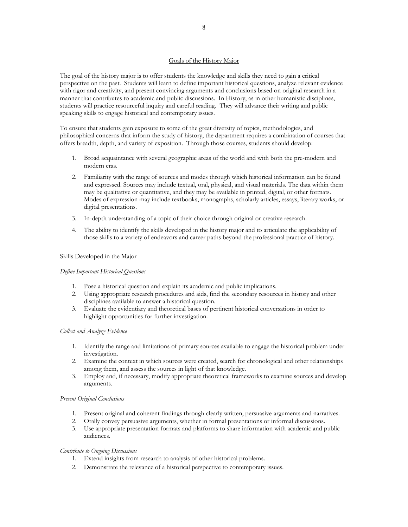### Goals of the History Major

The goal of the history major is to offer students the knowledge and skills they need to gain a critical perspective on the past. Students will learn to define important historical questions, analyze relevant evidence with rigor and creativity, and present convincing arguments and conclusions based on original research in a manner that contributes to academic and public discussions. In History, as in other humanistic disciplines, students will practice resourceful inquiry and careful reading. They will advance their writing and public speaking skills to engage historical and contemporary issues.

To ensure that students gain exposure to some of the great diversity of topics, methodologies, and philosophical concerns that inform the study of history, the department requires a combination of courses that offers breadth, depth, and variety of exposition. Through those courses, students should develop:

- 1. Broad acquaintance with several geographic areas of the world and with both the pre-modern and modern eras.
- 2. Familiarity with the range of sources and modes through which historical information can be found and expressed. Sources may include textual, oral, physical, and visual materials. The data within them may be qualitative or quantitative, and they may be available in printed, digital, or other formats. Modes of expression may include textbooks, monographs, scholarly articles, essays, literary works, or digital presentations.
- 3. In-depth understanding of a topic of their choice through original or creative research.
- 4. The ability to identify the skills developed in the history major and to articulate the applicability of those skills to a variety of endeavors and career paths beyond the professional practice of history.

### Skills Developed in the Major

#### *Define Important Historical Questions*

- 1. Pose a historical question and explain its academic and public implications.
- 2. Using appropriate research procedures and aids, find the secondary resources in history and other disciplines available to answer a historical question.
- 3. Evaluate the evidentiary and theoretical bases of pertinent historical conversations in order to highlight opportunities for further investigation.

#### *Collect and Analyze Evidence*

- 1. Identify the range and limitations of primary sources available to engage the historical problem under investigation.
- 2. Examine the context in which sources were created, search for chronological and other relationships among them, and assess the sources in light of that knowledge.
- 3. Employ and, if necessary, modify appropriate theoretical frameworks to examine sources and develop arguments.

#### *Present Original Conclusions*

- 1. Present original and coherent findings through clearly written, persuasive arguments and narratives.
- 2. Orally convey persuasive arguments, whether in formal presentations or informal discussions.
- 3. Use appropriate presentation formats and platforms to share information with academic and public audiences.

#### *Contribute to Ongoing Discussions*

- 1. Extend insights from research to analysis of other historical problems.
- 2. Demonstrate the relevance of a historical perspective to contemporary issues.